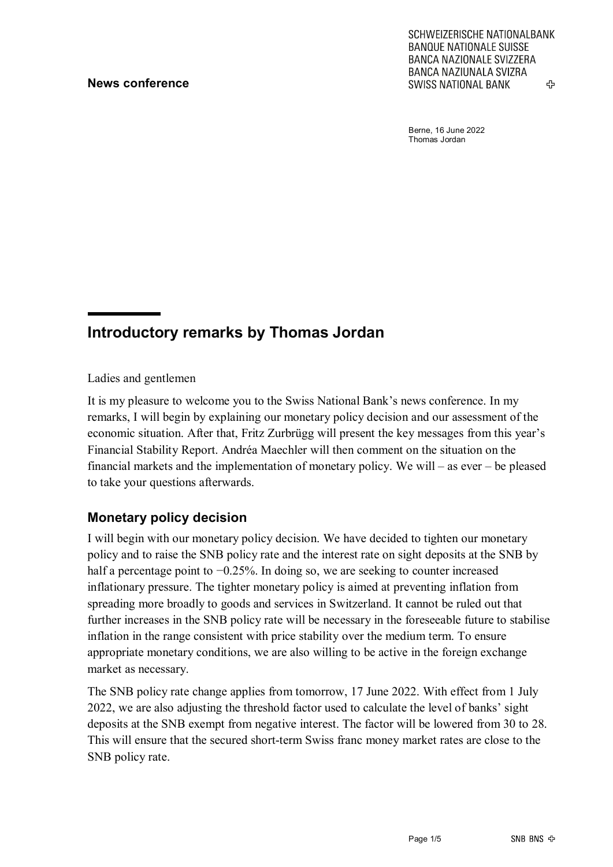SCHWEIZERISCHE NATIONALBANK **BANQUE NATIONALE SUISSE BANCA NAZIONALE SVIZZERA BANCA NAZIUNALA SVIZRA SWISS NATIONAL BANK** 42

Berne, 16 June 2022 Thomas Jordan

# **Introductory remarks by Thomas Jordan**

Ladies and gentlemen

It is my pleasure to welcome you to the Swiss National Bank's news conference. In my remarks, I will begin by explaining our monetary policy decision and our assessment of the economic situation. After that, Fritz Zurbrügg will present the key messages from this year's Financial Stability Report. Andréa Maechler will then comment on the situation on the financial markets and the implementation of monetary policy. We will – as ever – be pleased to take your questions afterwards.

## **Monetary policy decision**

I will begin with our monetary policy decision. We have decided to tighten our monetary policy and to raise the SNB policy rate and the interest rate on sight deposits at the SNB by half a percentage point to −0.25%. In doing so, we are seeking to counter increased inflationary pressure. The tighter monetary policy is aimed at preventing inflation from spreading more broadly to goods and services in Switzerland. It cannot be ruled out that further increases in the SNB policy rate will be necessary in the foreseeable future to stabilise inflation in the range consistent with price stability over the medium term. To ensure appropriate monetary conditions, we are also willing to be active in the foreign exchange market as necessary.

The SNB policy rate change applies from tomorrow, 17 June 2022. With effect from 1 July 2022, we are also adjusting the threshold factor used to calculate the level of banks' sight deposits at the SNB exempt from negative interest. The factor will be lowered from 30 to 28. This will ensure that the secured short-term Swiss franc money market rates are close to the SNB policy rate.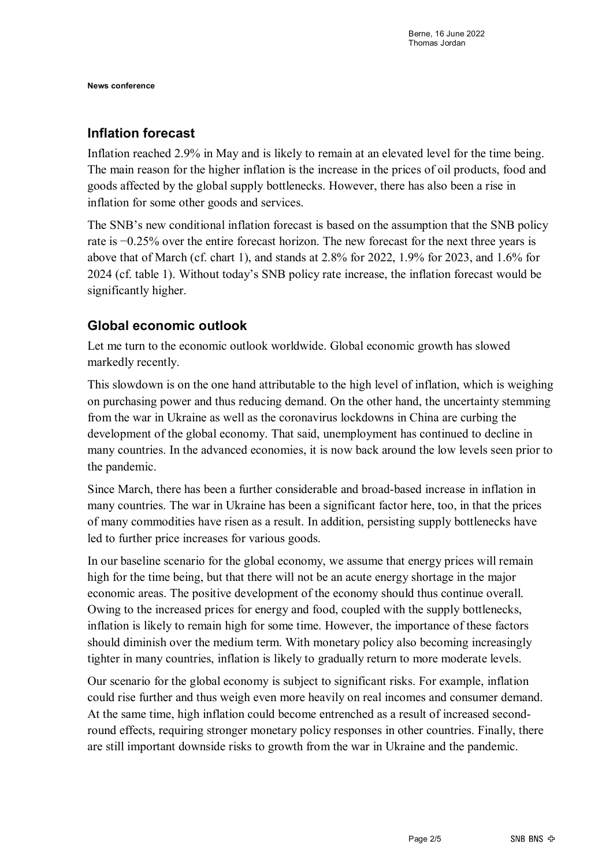### **Inflation forecast**

Inflation reached 2.9% in May and is likely to remain at an elevated level for the time being. The main reason for the higher inflation is the increase in the prices of oil products, food and goods affected by the global supply bottlenecks. However, there has also been a rise in inflation for some other goods and services.

The SNB's new conditional inflation forecast is based on the assumption that the SNB policy rate is −0.25% over the entire forecast horizon. The new forecast for the next three years is above that of March (cf. chart 1), and stands at 2.8% for 2022, 1.9% for 2023, and 1.6% for 2024 (cf. table 1). Without today's SNB policy rate increase, the inflation forecast would be significantly higher.

## **Global economic outlook**

Let me turn to the economic outlook worldwide. Global economic growth has slowed markedly recently.

This slowdown is on the one hand attributable to the high level of inflation, which is weighing on purchasing power and thus reducing demand. On the other hand, the uncertainty stemming from the war in Ukraine as well as the coronavirus lockdowns in China are curbing the development of the global economy. That said, unemployment has continued to decline in many countries. In the advanced economies, it is now back around the low levels seen prior to the pandemic.

Since March, there has been a further considerable and broad-based increase in inflation in many countries. The war in Ukraine has been a significant factor here, too, in that the prices of many commodities have risen as a result. In addition, persisting supply bottlenecks have led to further price increases for various goods.

In our baseline scenario for the global economy, we assume that energy prices will remain high for the time being, but that there will not be an acute energy shortage in the major economic areas. The positive development of the economy should thus continue overall. Owing to the increased prices for energy and food, coupled with the supply bottlenecks, inflation is likely to remain high for some time. However, the importance of these factors should diminish over the medium term. With monetary policy also becoming increasingly tighter in many countries, inflation is likely to gradually return to more moderate levels.

Our scenario for the global economy is subject to significant risks. For example, inflation could rise further and thus weigh even more heavily on real incomes and consumer demand. At the same time, high inflation could become entrenched as a result of increased secondround effects, requiring stronger monetary policy responses in other countries. Finally, there are still important downside risks to growth from the war in Ukraine and the pandemic.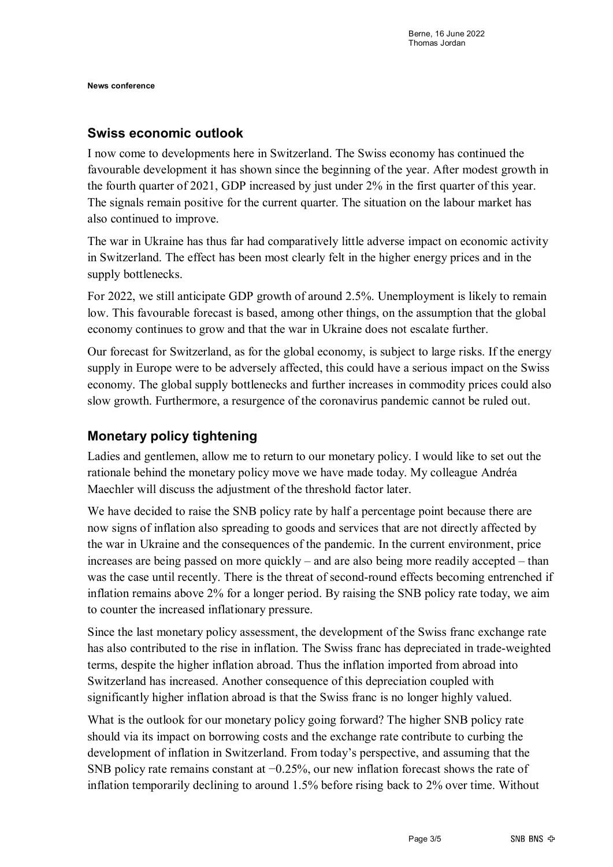### **Swiss economic outlook**

I now come to developments here in Switzerland. The Swiss economy has continued the favourable development it has shown since the beginning of the year. After modest growth in the fourth quarter of 2021, GDP increased by just under 2% in the first quarter of this year. The signals remain positive for the current quarter. The situation on the labour market has also continued to improve.

The war in Ukraine has thus far had comparatively little adverse impact on economic activity in Switzerland. The effect has been most clearly felt in the higher energy prices and in the supply bottlenecks.

For 2022, we still anticipate GDP growth of around 2.5%. Unemployment is likely to remain low. This favourable forecast is based, among other things, on the assumption that the global economy continues to grow and that the war in Ukraine does not escalate further.

Our forecast for Switzerland, as for the global economy, is subject to large risks. If the energy supply in Europe were to be adversely affected, this could have a serious impact on the Swiss economy. The global supply bottlenecks and further increases in commodity prices could also slow growth. Furthermore, a resurgence of the coronavirus pandemic cannot be ruled out.

## **Monetary policy tightening**

Ladies and gentlemen, allow me to return to our monetary policy. I would like to set out the rationale behind the monetary policy move we have made today. My colleague Andréa Maechler will discuss the adjustment of the threshold factor later.

We have decided to raise the SNB policy rate by half a percentage point because there are now signs of inflation also spreading to goods and services that are not directly affected by the war in Ukraine and the consequences of the pandemic. In the current environment, price increases are being passed on more quickly – and are also being more readily accepted – than was the case until recently. There is the threat of second-round effects becoming entrenched if inflation remains above 2% for a longer period. By raising the SNB policy rate today, we aim to counter the increased inflationary pressure.

Since the last monetary policy assessment, the development of the Swiss franc exchange rate has also contributed to the rise in inflation. The Swiss franc has depreciated in trade-weighted terms, despite the higher inflation abroad. Thus the inflation imported from abroad into Switzerland has increased. Another consequence of this depreciation coupled with significantly higher inflation abroad is that the Swiss franc is no longer highly valued.

What is the outlook for our monetary policy going forward? The higher SNB policy rate should via its impact on borrowing costs and the exchange rate contribute to curbing the development of inflation in Switzerland. From today's perspective, and assuming that the SNB policy rate remains constant at  $-0.25%$ , our new inflation forecast shows the rate of inflation temporarily declining to around 1.5% before rising back to 2% over time. Without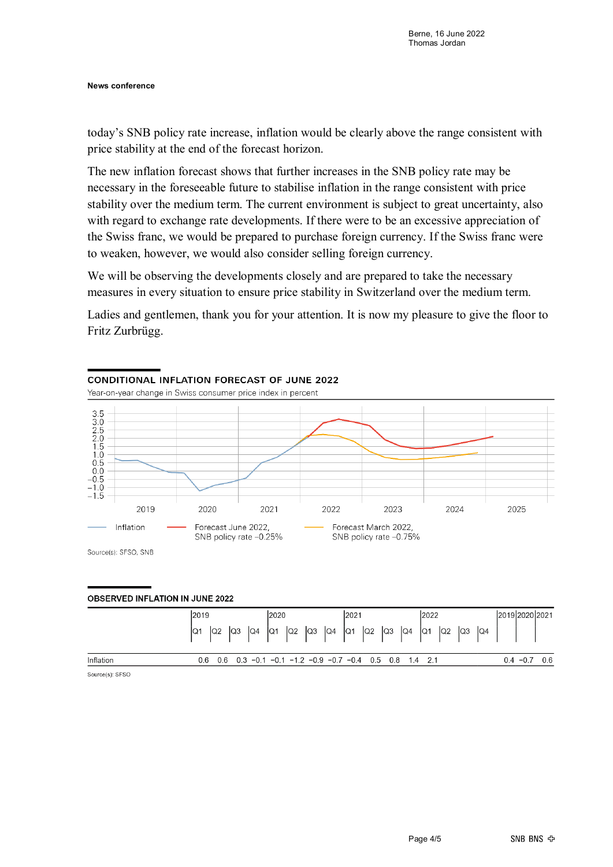today's SNB policy rate increase, inflation would be clearly above the range consistent with price stability at the end of the forecast horizon.

The new inflation forecast shows that further increases in the SNB policy rate may be necessary in the foreseeable future to stabilise inflation in the range consistent with price stability over the medium term. The current environment is subject to great uncertainty, also with regard to exchange rate developments. If there were to be an excessive appreciation of the Swiss franc, we would be prepared to purchase foreign currency. If the Swiss franc were to weaken, however, we would also consider selling foreign currency.

We will be observing the developments closely and are prepared to take the necessary measures in every situation to ensure price stability in Switzerland over the medium term.

Ladies and gentlemen, thank you for your attention. It is now my pleasure to give the floor to Fritz Zurbrügg.

#### CONDITIONAL INFLATION FORFCAST OF JUNE 2022 Year-on-year change in Swiss consumer price index in percent 3.5<br>3.0<br>2.5<br>2.0<br>1.5<br>1.0  $0.5$ <br> $0.0$  $-0.5$  $-1.0 - 1.5$ 2019 2020 2021 2022 2023 2024 2025 Inflation Forecast June 2022. Forecast March 2022. SNB policy rate -0.25% SNB policy rate -0.75%

Source(s): SFSO, SNB

#### **OBSERVED INFLATION IN JUNE 2022**

|                 | 2019 | 2020 | 2021                                                      | 2022                                                                                                      | 2019 2020 2021    |  |  |
|-----------------|------|------|-----------------------------------------------------------|-----------------------------------------------------------------------------------------------------------|-------------------|--|--|
|                 |      |      |                                                           | $\vert$ a1   a2   a3   a4   a1   a2   a3   a4   a1   a2   a3   a4   a1   a2   a3   a4   a1   a2   a3   a4 |                   |  |  |
| Inflation       |      |      | 0.6 0.6 0.3 -0.1 -0.1 -1.2 -0.9 -0.7 -0.4 0.5 0.8 1.4 2.1 |                                                                                                           | 0.6<br>$0.4 -0.7$ |  |  |
| Source(s): SESO |      |      |                                                           |                                                                                                           |                   |  |  |